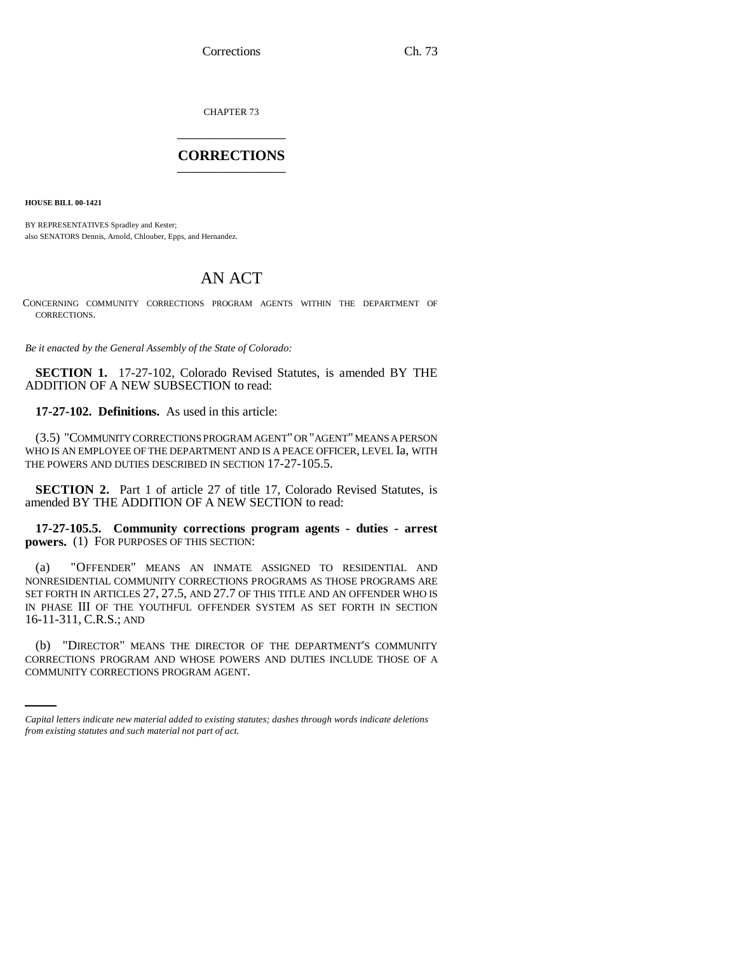CHAPTER 73 \_\_\_\_\_\_\_\_\_\_\_\_\_\_\_

### **CORRECTIONS** \_\_\_\_\_\_\_\_\_\_\_\_\_\_\_

**HOUSE BILL 00-1421** 

BY REPRESENTATIVES Spradley and Kester; also SENATORS Dennis, Arnold, Chlouber, Epps, and Hernandez.

# AN ACT

CONCERNING COMMUNITY CORRECTIONS PROGRAM AGENTS WITHIN THE DEPARTMENT OF CORRECTIONS.

*Be it enacted by the General Assembly of the State of Colorado:*

**SECTION 1.** 17-27-102, Colorado Revised Statutes, is amended BY THE ADDITION OF A NEW SUBSECTION to read:

**17-27-102. Definitions.** As used in this article:

(3.5) "COMMUNITY CORRECTIONS PROGRAM AGENT" OR "AGENT" MEANS A PERSON WHO IS AN EMPLOYEE OF THE DEPARTMENT AND IS A PEACE OFFICER, LEVEL Ia, WITH THE POWERS AND DUTIES DESCRIBED IN SECTION 17-27-105.5.

**SECTION 2.** Part 1 of article 27 of title 17, Colorado Revised Statutes, is amended BY THE ADDITION OF A NEW SECTION to read:

**17-27-105.5. Community corrections program agents - duties - arrest powers.** (1) FOR PURPOSES OF THIS SECTION:

(a) "OFFENDER" MEANS AN INMATE ASSIGNED TO RESIDENTIAL AND NONRESIDENTIAL COMMUNITY CORRECTIONS PROGRAMS AS THOSE PROGRAMS ARE SET FORTH IN ARTICLES 27, 27.5, AND 27.7 OF THIS TITLE AND AN OFFENDER WHO IS IN PHASE III OF THE YOUTHFUL OFFENDER SYSTEM AS SET FORTH IN SECTION 16-11-311, C.R.S.; AND

(b) "DIRECTOR" MEANS THE DIRECTOR OF THE DEPARTMENT'S COMMUNITY CORRECTIONS PROGRAM AND WHOSE POWERS AND DUTIES INCLUDE THOSE OF A COMMUNITY CORRECTIONS PROGRAM AGENT.

*Capital letters indicate new material added to existing statutes; dashes through words indicate deletions from existing statutes and such material not part of act.*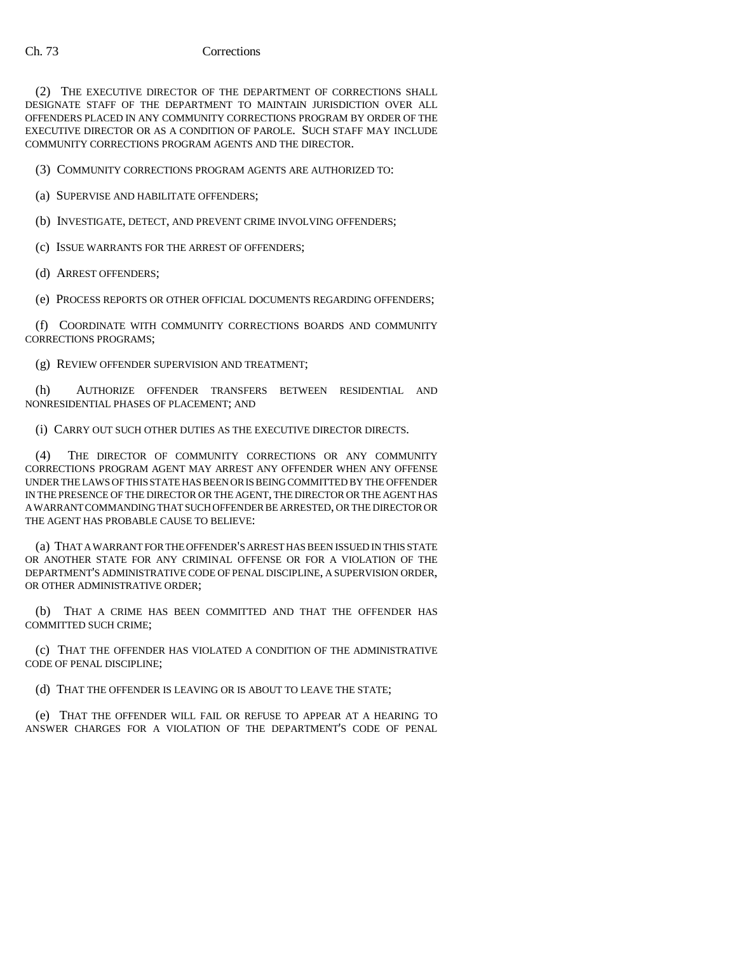### Ch. 73 Corrections

(2) THE EXECUTIVE DIRECTOR OF THE DEPARTMENT OF CORRECTIONS SHALL DESIGNATE STAFF OF THE DEPARTMENT TO MAINTAIN JURISDICTION OVER ALL OFFENDERS PLACED IN ANY COMMUNITY CORRECTIONS PROGRAM BY ORDER OF THE EXECUTIVE DIRECTOR OR AS A CONDITION OF PAROLE. SUCH STAFF MAY INCLUDE COMMUNITY CORRECTIONS PROGRAM AGENTS AND THE DIRECTOR.

(3) COMMUNITY CORRECTIONS PROGRAM AGENTS ARE AUTHORIZED TO:

(a) SUPERVISE AND HABILITATE OFFENDERS;

(b) INVESTIGATE, DETECT, AND PREVENT CRIME INVOLVING OFFENDERS;

(c) ISSUE WARRANTS FOR THE ARREST OF OFFENDERS;

(d) ARREST OFFENDERS;

(e) PROCESS REPORTS OR OTHER OFFICIAL DOCUMENTS REGARDING OFFENDERS;

(f) COORDINATE WITH COMMUNITY CORRECTIONS BOARDS AND COMMUNITY CORRECTIONS PROGRAMS;

(g) REVIEW OFFENDER SUPERVISION AND TREATMENT;

(h) AUTHORIZE OFFENDER TRANSFERS BETWEEN RESIDENTIAL AND NONRESIDENTIAL PHASES OF PLACEMENT; AND

(i) CARRY OUT SUCH OTHER DUTIES AS THE EXECUTIVE DIRECTOR DIRECTS.

(4) THE DIRECTOR OF COMMUNITY CORRECTIONS OR ANY COMMUNITY CORRECTIONS PROGRAM AGENT MAY ARREST ANY OFFENDER WHEN ANY OFFENSE UNDER THE LAWS OF THIS STATE HAS BEEN OR IS BEING COMMITTED BY THE OFFENDER IN THE PRESENCE OF THE DIRECTOR OR THE AGENT, THE DIRECTOR OR THE AGENT HAS A WARRANT COMMANDING THAT SUCH OFFENDER BE ARRESTED, OR THE DIRECTOR OR THE AGENT HAS PROBABLE CAUSE TO BELIEVE:

(a) THAT A WARRANT FOR THE OFFENDER'S ARREST HAS BEEN ISSUED IN THIS STATE OR ANOTHER STATE FOR ANY CRIMINAL OFFENSE OR FOR A VIOLATION OF THE DEPARTMENT'S ADMINISTRATIVE CODE OF PENAL DISCIPLINE, A SUPERVISION ORDER, OR OTHER ADMINISTRATIVE ORDER;

(b) THAT A CRIME HAS BEEN COMMITTED AND THAT THE OFFENDER HAS COMMITTED SUCH CRIME;

(c) THAT THE OFFENDER HAS VIOLATED A CONDITION OF THE ADMINISTRATIVE CODE OF PENAL DISCIPLINE;

(d) THAT THE OFFENDER IS LEAVING OR IS ABOUT TO LEAVE THE STATE;

(e) THAT THE OFFENDER WILL FAIL OR REFUSE TO APPEAR AT A HEARING TO ANSWER CHARGES FOR A VIOLATION OF THE DEPARTMENT'S CODE OF PENAL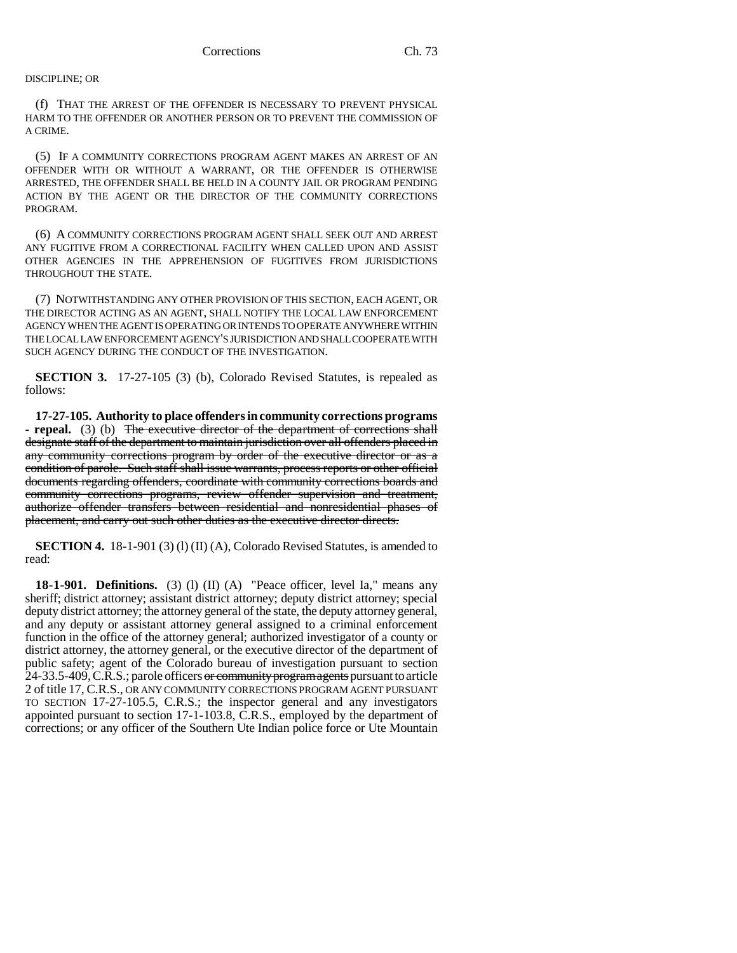DISCIPLINE; OR

(f) THAT THE ARREST OF THE OFFENDER IS NECESSARY TO PREVENT PHYSICAL HARM TO THE OFFENDER OR ANOTHER PERSON OR TO PREVENT THE COMMISSION OF A CRIME.

(5) IF A COMMUNITY CORRECTIONS PROGRAM AGENT MAKES AN ARREST OF AN OFFENDER WITH OR WITHOUT A WARRANT, OR THE OFFENDER IS OTHERWISE ARRESTED, THE OFFENDER SHALL BE HELD IN A COUNTY JAIL OR PROGRAM PENDING ACTION BY THE AGENT OR THE DIRECTOR OF THE COMMUNITY CORRECTIONS PROGRAM.

(6) A COMMUNITY CORRECTIONS PROGRAM AGENT SHALL SEEK OUT AND ARREST ANY FUGITIVE FROM A CORRECTIONAL FACILITY WHEN CALLED UPON AND ASSIST OTHER AGENCIES IN THE APPREHENSION OF FUGITIVES FROM JURISDICTIONS THROUGHOUT THE STATE.

(7) NOTWITHSTANDING ANY OTHER PROVISION OF THIS SECTION, EACH AGENT, OR THE DIRECTOR ACTING AS AN AGENT, SHALL NOTIFY THE LOCAL LAW ENFORCEMENT AGENCY WHEN THE AGENT IS OPERATING OR INTENDS TO OPERATE ANYWHERE WITHIN THE LOCAL LAW ENFORCEMENT AGENCY'S JURISDICTION AND SHALL COOPERATE WITH SUCH AGENCY DURING THE CONDUCT OF THE INVESTIGATION.

**SECTION 3.** 17-27-105 (3) (b), Colorado Revised Statutes, is repealed as follows:

**17-27-105. Authority to place offenders in community corrections programs - repeal.** (3) (b) The executive director of the department of corrections shall designate staff of the department to maintain jurisdiction over all offenders placed in any community corrections program by order of the executive director or as a condition of parole. Such staff shall issue warrants, process reports or other official documents regarding offenders, coordinate with community corrections boards and community corrections programs, review offender supervision and treatment, authorize offender transfers between residential and nonresidential phases of placement, and carry out such other duties as the executive director directs.

**SECTION 4.** 18-1-901 (3) (1) (II) (A), Colorado Revised Statutes, is amended to read:

**18-1-901. Definitions.** (3) (l) (II) (A) "Peace officer, level Ia," means any sheriff; district attorney; assistant district attorney; deputy district attorney; special deputy district attorney; the attorney general of the state, the deputy attorney general, and any deputy or assistant attorney general assigned to a criminal enforcement function in the office of the attorney general; authorized investigator of a county or district attorney, the attorney general, or the executive director of the department of public safety; agent of the Colorado bureau of investigation pursuant to section 24-33.5-409, C.R.S.; parole officers or community program agents pursuant to article 2 of title 17, C.R.S., OR ANY COMMUNITY CORRECTIONS PROGRAM AGENT PURSUANT TO SECTION 17-27-105.5, C.R.S.; the inspector general and any investigators appointed pursuant to section 17-1-103.8, C.R.S., employed by the department of corrections; or any officer of the Southern Ute Indian police force or Ute Mountain